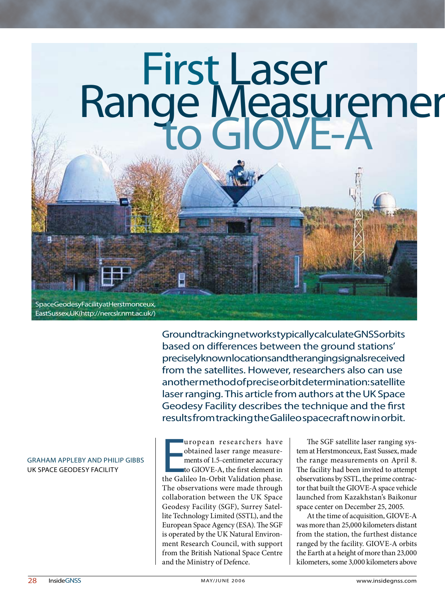

Space Geodesy Facility at Herstmonceux, East Sussex, UK (http://nercslr.nmt.ac.uk/)

> Ground tracking networks typically calculate GNSS orbits based on differences between the ground stations' precisely knownlocations and the ranging signals received from the satellites. However, researchers also can use another method of precise orbit determination: satellite laser ranging. This article from authors at the UK Space Geodesy Facility describes the technique and the first results from tracking the Galileo spacecraft now in orbit.

#### GRAHAM APPLEBY AND PHILIP GIBBS uk space geodesy facility

a uropean researchers have<br>obtained laser range measure-<br>ments of 1.5-centimeter accuracy<br>to GIOVE-A, the first element in<br>the Galileo In-Orbit Validation phase. uropean researchers have obtained laser range measurements of 1.5-centimeter accuracy to GIOVE-A, the first element in The observations were made through collaboration between the UK Space Geodesy Facility (SGF), Surrey Satellite Technology Limited (SSTL), and the European Space Agency (ESA). The SGF is operated by the UK Natural Environment Research Council, with support from the British National Space Centre and the Ministry of Defence.

The SGF satellite laser ranging system at Herstmonceux, East Sussex, made the range measurements on April 8. The facility had been invited to attempt observations by SSTL, the prime contractor that built the GIOVE-A space vehicle launched from Kazakhstan's Baikonur space center on December 25, 2005.

At the time of acquisition, GIOVE-A was more than 25,000 kilometers distant from the station, the furthest distance ranged by the facility. GIOVE-A orbits the Earth at a height of more than 23,000 kilometers, some 3,000 kilometers above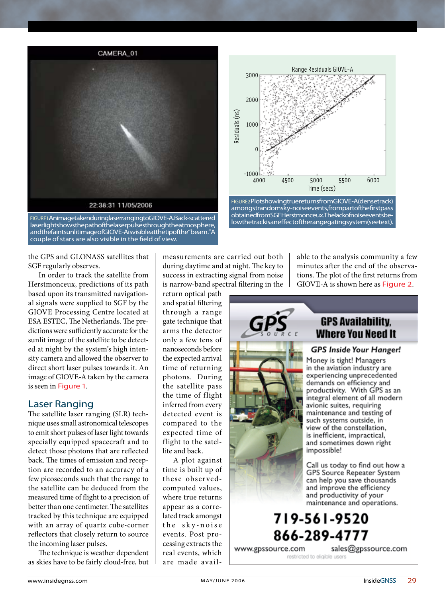

FIGURE1 Animagetaken during laser ranging to GIOVE-A. Back-scattered laserlight shows the path of the laser pulses through the atmosphere, and the faint sunlit image of GIOVE-A is visible at the tip of the "beam." A couple of stars are also visible in the field of view.



FIGURE2Plotshowing true returns from GIOVE-A (dense track) amongstrandomsky-noise events, from part of the first pass obtained from SGF Herstmonceux. The lack of noise events below the track is an effect of the range gating system (see text).

the GPS and GLONASS satellites that SGF regularly observes.

In order to track the satellite from Herstmonceux, predictions of its path based upon its transmitted navigational signals were supplied to SGF by the GIOVE Processing Centre located at ESA ESTEC, The Netherlands. The predictions were sufficiently accurate for the sunlit image of the satellite to be detected at night by the system's high intensity camera and allowed the observer to direct short laser pulses towards it. An image of GIOVE-A taken by the camera is seen in Figure 1.

#### Laser Ranging

The satellite laser ranging (SLR) technique uses small astronomical telescopes to emit short pulses of laser light towards specially equipped spacecraft and to detect those photons that are reflected back. The times of emission and reception are recorded to an accuracy of a few picoseconds such that the range to the satellite can be deduced from the measured time of flight to a precision of better than one centimeter. The satellites tracked by this technique are equipped with an array of quartz cube-corner reflectors that closely return to source the incoming laser pulses.

The technique is weather dependent as skies have to be fairly cloud-free, but measurements are carried out both during daytime and at night. The key to success in extracting signal from noise is narrow-band spectral filtering in the

return optical path and spatial filtering through a range gate technique that arms the detector only a few tens of nanoseconds before the expected arrival time of returning photons. During the satellite pass the time of flight inferred from every detected event is compared to the expected time of flight to the satellite and back.

A plot against time is built up of these observedcomputed values, where true returns appear as a correlated track amongst the sky-noise events. Post processing extracts the real events, which are made available to the analysis community a few minutes after the end of the observations. The plot of the first returns from GIOVE-A is shown here as Figure 2.



## 719-561-9520 866-289-4777

www.gpssource.com

sales@gpssource.com

restricted to eligible users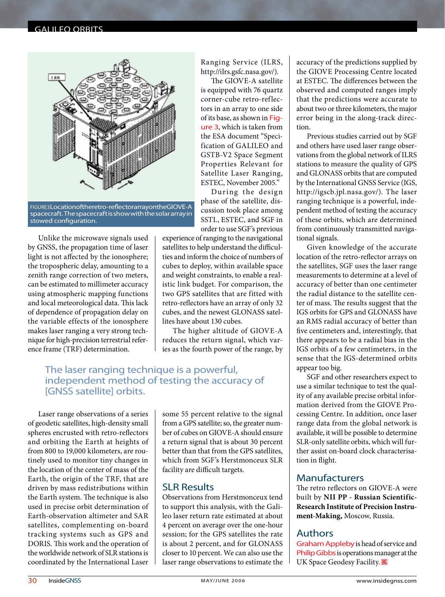#### galileo orbits



FIGURE3 Location of the retro-reflector array on the GIOVE-A spacecraft. The spacecraft is show with the solar array in stowed configuration.

Unlike the microwave signals used by GNSS, the propagation time of laser light is not affected by the ionosphere; the tropospheric delay, amounting to a zenith range correction of two meters, can be estimated to millimeter accuracy using atmospheric mapping functions and local meteorological data. This lack of dependence of propagation delay on the variable effects of the ionosphere makes laser ranging a very strong technique for high-precision terrestrial reference frame (TRF) determination.

Ranging Service (ILRS, http://ilrs.gsfc.nasa.gov/).

The GIOVE-A satellite is equipped with 76 quartz corner-cube retro-reflectors in an array to one side of its base, as shown in Figure 3, which is taken from the ESA document "Specification of GALILEO and GSTB-V2 Space Segment Properties Relevant for Satellite Laser Ranging, ESTEC, November 2005."

During the design phase of the satellite, discussion took place among SSTL, ESTEC, and SGF in order to use SGF's previous

experience of ranging to the navigational satellites to help understand the difficulties and inform the choice of numbers of cubes to deploy, within available space and weight constraints, to enable a realistic link budget. For comparison, the two GPS satellites that are fitted with retro-reflectors have an array of only 32 cubes, and the newest GLONASS satellites have about 130 cubes.

The higher altitude of GIOVE-A reduces the return signal, which varies as the fourth power of the range, by

#### The laser ranging technique is a powerful, independent method of testing the accuracy of [GNSS satellite] orbits.

Laser range observations of a series of geodetic satellites, high-density small spheres encrusted with retro-reflectors and orbiting the Earth at heights of from 800 to 19,000 kilometers, are routinely used to monitor tiny changes in the location of the center of mass of the Earth, the origin of the TRF, that are driven by mass redistributions within the Earth system. The technique is also used in precise orbit determination of Earth-observation altimeter and SAR satellites, complementing on-board tracking systems such as GPS and DORIS. This work and the operation of the worldwide network of SLR stations is coordinated by the International Laser

some 55 percent relative to the signal from a GPS satellite; so, the greater number of cubes on GIOVE-A should ensure a return signal that is about 30 percent better than that from the GPS satellites, which from SGF's Herstmonceux SLR facility are difficult targets.

#### SLR Results

Observations from Herstmonceux tend to support this analysis, with the Galileo laser return rate estimated at about 4 percent on average over the one-hour session; for the GPS satellites the rate is about 2 percent, and for GLONASS closer to 10 percent. We can also use the laser range observations to estimate the

accuracy of the predictions supplied by the GIOVE Processing Centre located at ESTEC. The differences between the observed and computed ranges imply that the predictions were accurate to about two or three kilometers, the major error being in the along-track direction.

Previous studies carried out by SGF and others have used laser range observations from the global network of ILRS stations to measure the quality of GPS and GLONASS orbits that are computed by the International GNSS Service (IGS, http://igscb.jpl.nasa.gov/). The laser ranging technique is a powerful, independent method of testing the accuracy of these orbits, which are determined from continuously transmitted navigational signals.

Given knowledge of the accurate location of the retro-reflector arrays on the satellites, SGF uses the laser range measurements to determine at a level of accuracy of better than one centimeter the radial distance to the satellite center of mass. The results suggest that the IGS orbits for GPS and GLONASS have an RMS radial accuracy of better than five centimeters and, interestingly, that there appears to be a radial bias in the IGS orbits of a few centimeters, in the sense that the IGS-determined orbits appear too big.

SGF and other researchers expect to use a similar technique to test the quality of any available precise orbital information derived from the GIOVE Processing Centre. In addition, once laser range data from the global network is available, it will be possible to determine SLR-only satellite orbits, which will further assist on-board clock characterisation in flight.

#### Manufacturers

The retro reflectors on GIOVE-A were built by **NII PP - Russian Scientific-Research Institute of Precision Instrument-Making,** Moscow, Russia.

#### Authors

Graham Appleby is head of service and Philip Gibbs is operations manager at the UK Space Geodesy Facility. IG